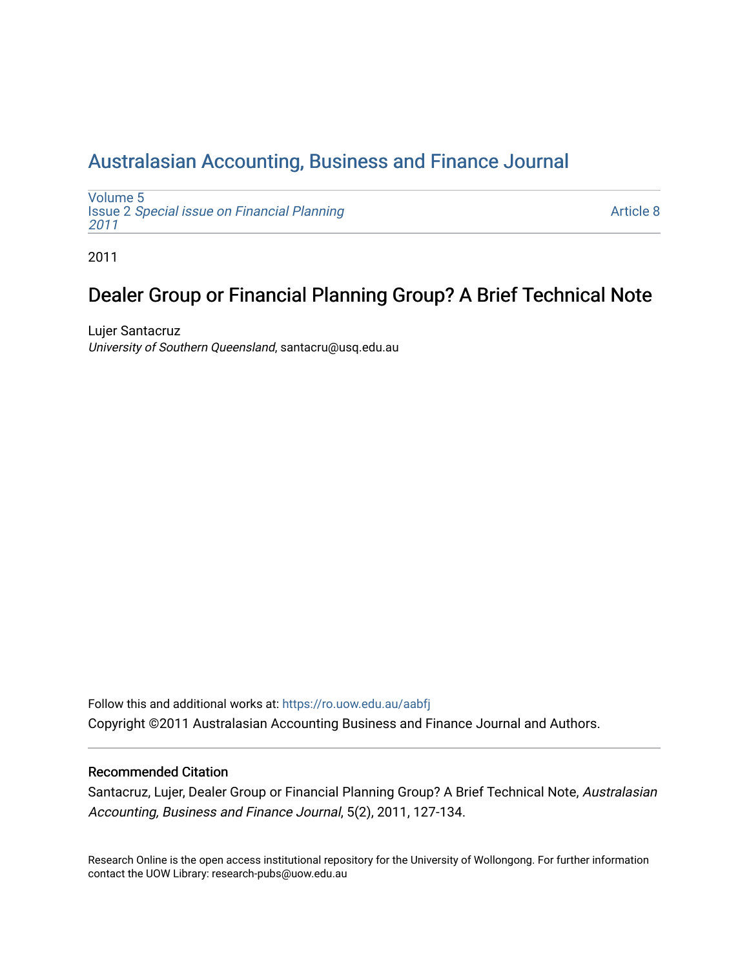## [Australasian Accounting, Business and Finance Journal](https://ro.uow.edu.au/aabfj)

[Volume 5](https://ro.uow.edu.au/aabfj/vol5) Issue 2 [Special issue on Financial Planning](https://ro.uow.edu.au/aabfj/vol5/iss2) [2011](https://ro.uow.edu.au/aabfj/vol5/iss2) 

[Article 8](https://ro.uow.edu.au/aabfj/vol5/iss2/8) 

2011

# Dealer Group or Financial Planning Group? A Brief Technical Note

Lujer Santacruz University of Southern Queensland, santacru@usq.edu.au

Follow this and additional works at: [https://ro.uow.edu.au/aabfj](https://ro.uow.edu.au/aabfj?utm_source=ro.uow.edu.au%2Faabfj%2Fvol5%2Fiss2%2F8&utm_medium=PDF&utm_campaign=PDFCoverPages) Copyright ©2011 Australasian Accounting Business and Finance Journal and Authors.

#### Recommended Citation

Santacruz, Lujer, Dealer Group or Financial Planning Group? A Brief Technical Note, Australasian Accounting, Business and Finance Journal, 5(2), 2011, 127-134.

Research Online is the open access institutional repository for the University of Wollongong. For further information contact the UOW Library: research-pubs@uow.edu.au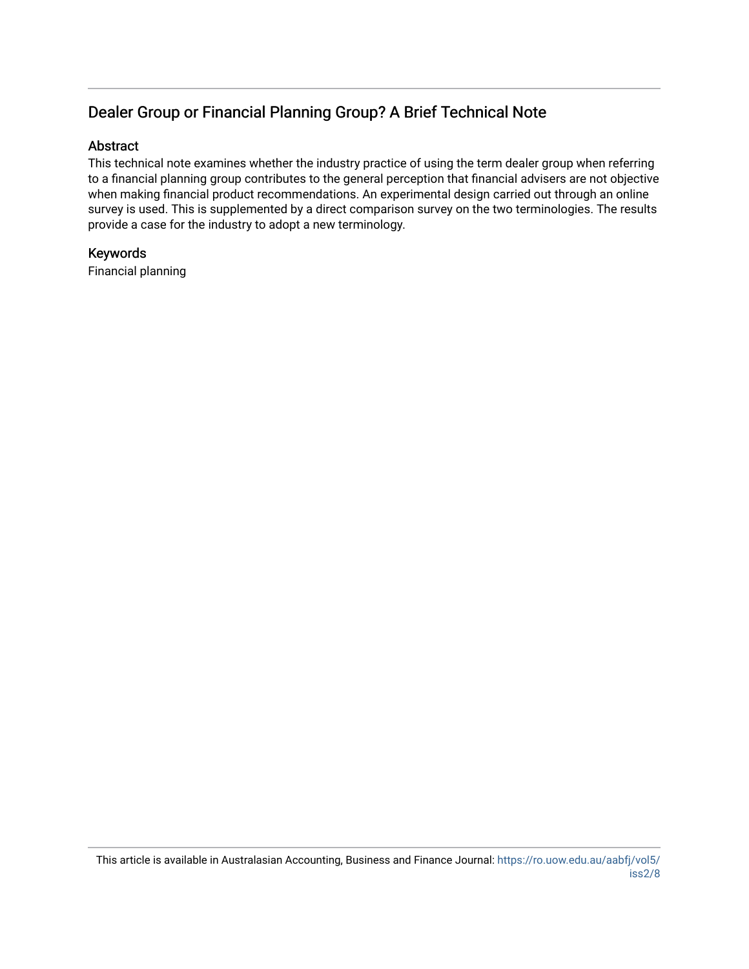### Dealer Group or Financial Planning Group? A Brief Technical Note

#### Abstract

This technical note examines whether the industry practice of using the term dealer group when referring to a financial planning group contributes to the general perception that financial advisers are not objective when making financial product recommendations. An experimental design carried out through an online survey is used. This is supplemented by a direct comparison survey on the two terminologies. The results provide a case for the industry to adopt a new terminology.

#### Keywords

Financial planning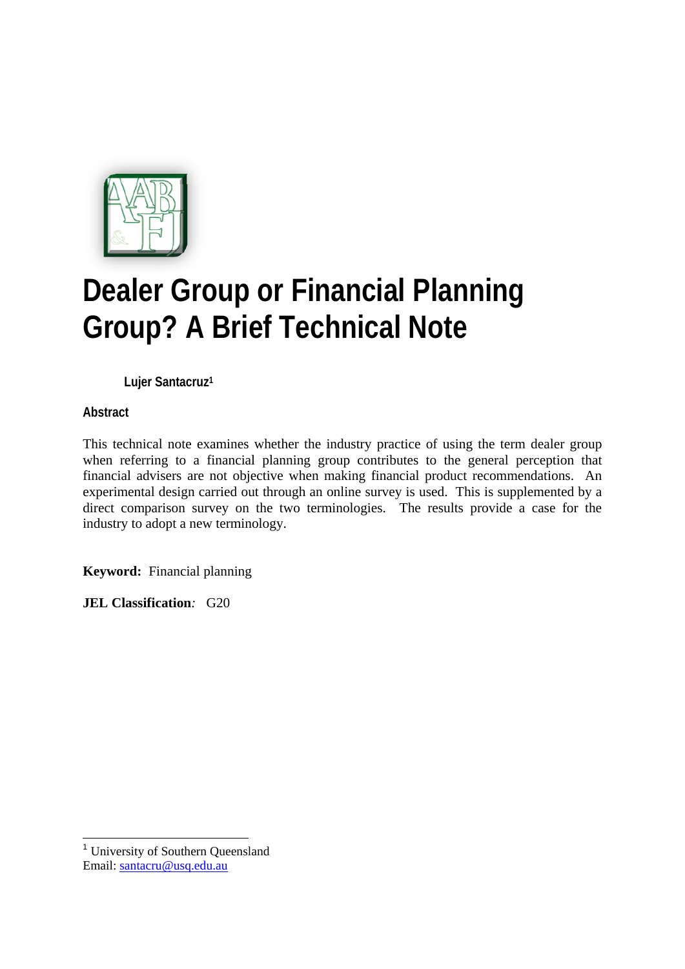

# **Dealer Group or Financial Planning Group? A Brief Technical Note**

**Lujer Santacruz1**

**Abstract** 

This technical note examines whether the industry practice of using the term dealer group when referring to a financial planning group contributes to the general perception that financial advisers are not objective when making financial product recommendations. An experimental design carried out through an online survey is used. This is supplemented by a direct comparison survey on the two terminologies. The results provide a case for the industry to adopt a new terminology.

**Keyword:**Financial planning

**JEL Classification***:* G20

1

<sup>&</sup>lt;sup>1</sup> University of Southern Oueensland Email: santacru@usq.edu.au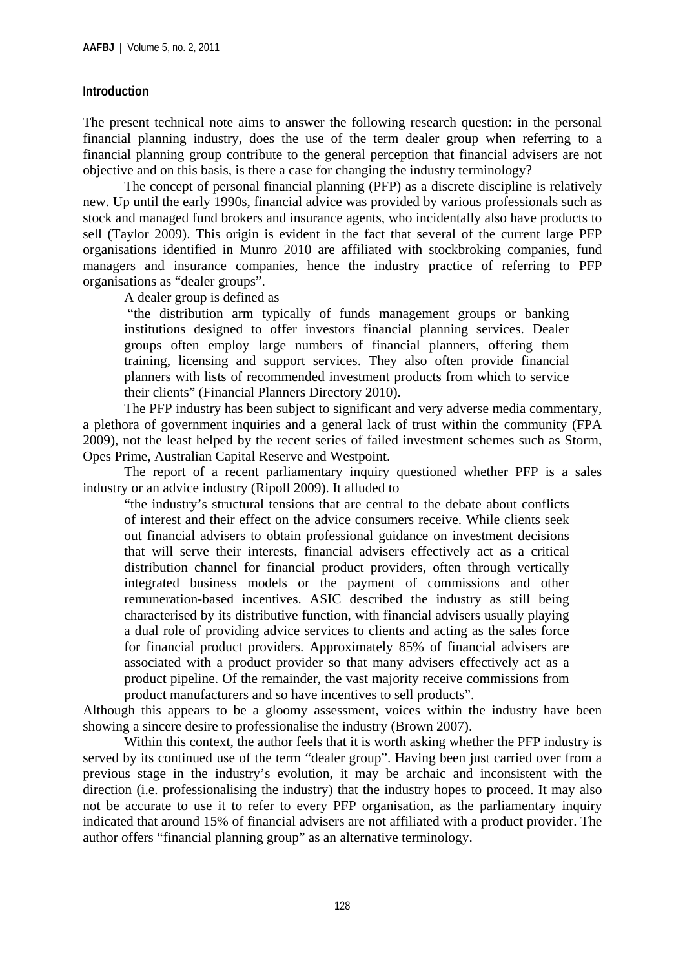#### **Introduction**

The present technical note aims to answer the following research question: in the personal financial planning industry, does the use of the term dealer group when referring to a financial planning group contribute to the general perception that financial advisers are not objective and on this basis, is there a case for changing the industry terminology?

The concept of personal financial planning (PFP) as a discrete discipline is relatively new. Up until the early 1990s, financial advice was provided by various professionals such as stock and managed fund brokers and insurance agents, who incidentally also have products to sell (Taylor 2009). This origin is evident in the fact that several of the current large PFP organisations identified in Munro 2010 are affiliated with stockbroking companies, fund managers and insurance companies, hence the industry practice of referring to PFP organisations as "dealer groups".

A dealer group is defined as

 "the distribution arm typically of funds management groups or banking institutions designed to offer investors financial planning services. Dealer groups often employ large numbers of financial planners, offering them training, licensing and support services. They also often provide financial planners with lists of recommended investment products from which to service their clients" (Financial Planners Directory 2010).

The PFP industry has been subject to significant and very adverse media commentary, a plethora of government inquiries and a general lack of trust within the community (FPA 2009), not the least helped by the recent series of failed investment schemes such as Storm, Opes Prime, Australian Capital Reserve and Westpoint.

The report of a recent parliamentary inquiry questioned whether PFP is a sales industry or an advice industry (Ripoll 2009). It alluded to

"the industry's structural tensions that are central to the debate about conflicts of interest and their effect on the advice consumers receive. While clients seek out financial advisers to obtain professional guidance on investment decisions that will serve their interests, financial advisers effectively act as a critical distribution channel for financial product providers, often through vertically integrated business models or the payment of commissions and other remuneration-based incentives. ASIC described the industry as still being characterised by its distributive function, with financial advisers usually playing a dual role of providing advice services to clients and acting as the sales force for financial product providers. Approximately 85% of financial advisers are associated with a product provider so that many advisers effectively act as a product pipeline. Of the remainder, the vast majority receive commissions from product manufacturers and so have incentives to sell products".

Although this appears to be a gloomy assessment, voices within the industry have been showing a sincere desire to professionalise the industry (Brown 2007).

Within this context, the author feels that it is worth asking whether the PFP industry is served by its continued use of the term "dealer group". Having been just carried over from a previous stage in the industry's evolution, it may be archaic and inconsistent with the direction (i.e. professionalising the industry) that the industry hopes to proceed. It may also not be accurate to use it to refer to every PFP organisation, as the parliamentary inquiry indicated that around 15% of financial advisers are not affiliated with a product provider. The author offers "financial planning group" as an alternative terminology.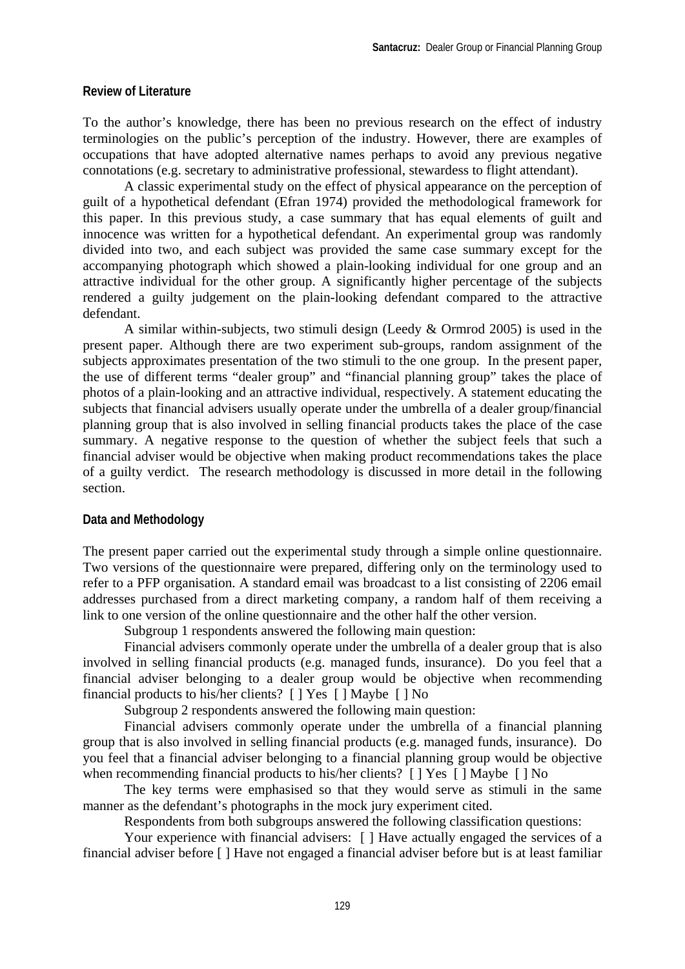#### **Review of Literature**

To the author's knowledge, there has been no previous research on the effect of industry terminologies on the public's perception of the industry. However, there are examples of occupations that have adopted alternative names perhaps to avoid any previous negative connotations (e.g. secretary to administrative professional, stewardess to flight attendant).

A classic experimental study on the effect of physical appearance on the perception of guilt of a hypothetical defendant (Efran 1974) provided the methodological framework for this paper. In this previous study, a case summary that has equal elements of guilt and innocence was written for a hypothetical defendant. An experimental group was randomly divided into two, and each subject was provided the same case summary except for the accompanying photograph which showed a plain-looking individual for one group and an attractive individual for the other group. A significantly higher percentage of the subjects rendered a guilty judgement on the plain-looking defendant compared to the attractive defendant.

A similar within-subjects, two stimuli design (Leedy & Ormrod 2005) is used in the present paper. Although there are two experiment sub-groups, random assignment of the subjects approximates presentation of the two stimuli to the one group. In the present paper, the use of different terms "dealer group" and "financial planning group" takes the place of photos of a plain-looking and an attractive individual, respectively. A statement educating the subjects that financial advisers usually operate under the umbrella of a dealer group/financial planning group that is also involved in selling financial products takes the place of the case summary. A negative response to the question of whether the subject feels that such a financial adviser would be objective when making product recommendations takes the place of a guilty verdict. The research methodology is discussed in more detail in the following section.

#### **Data and Methodology**

The present paper carried out the experimental study through a simple online questionnaire. Two versions of the questionnaire were prepared, differing only on the terminology used to refer to a PFP organisation. A standard email was broadcast to a list consisting of 2206 email addresses purchased from a direct marketing company, a random half of them receiving a link to one version of the online questionnaire and the other half the other version.

Subgroup 1 respondents answered the following main question:

Financial advisers commonly operate under the umbrella of a dealer group that is also involved in selling financial products (e.g. managed funds, insurance). Do you feel that a financial adviser belonging to a dealer group would be objective when recommending financial products to his/her clients? [ ] Yes [ ] Maybe [ ] No

Subgroup 2 respondents answered the following main question:

Financial advisers commonly operate under the umbrella of a financial planning group that is also involved in selling financial products (e.g. managed funds, insurance). Do you feel that a financial adviser belonging to a financial planning group would be objective when recommending financial products to his/her clients? [ ] Yes [ ] Maybe [ ] No

The key terms were emphasised so that they would serve as stimuli in the same manner as the defendant's photographs in the mock jury experiment cited.

Respondents from both subgroups answered the following classification questions:

Your experience with financial advisers: [ ] Have actually engaged the services of a financial adviser before [ ] Have not engaged a financial adviser before but is at least familiar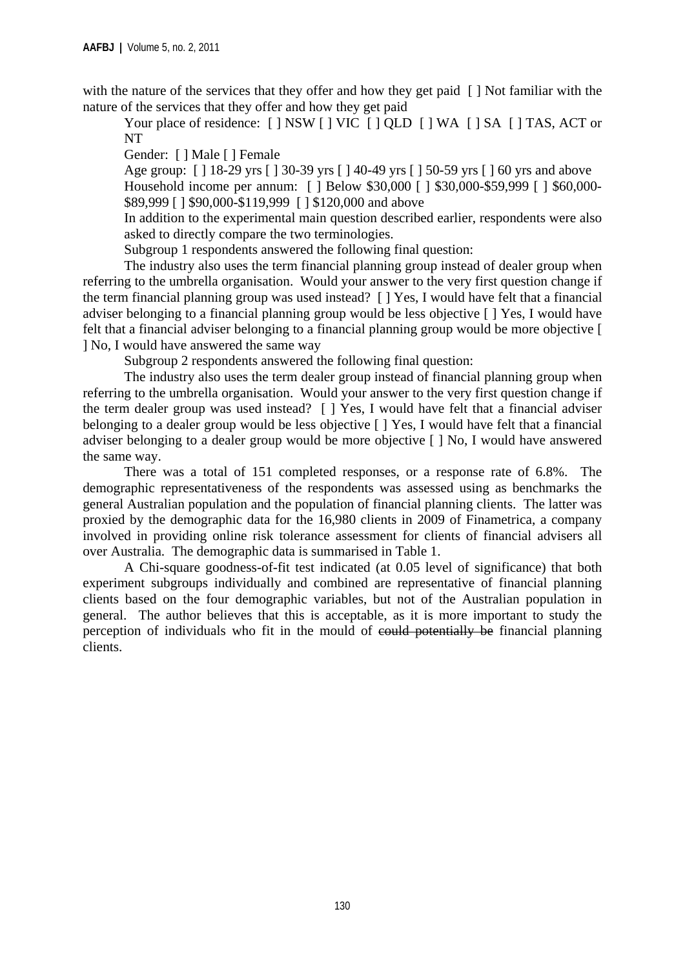with the nature of the services that they offer and how they get paid [] Not familiar with the nature of the services that they offer and how they get paid

Your place of residence: [ ] NSW [ ] VIC [ ] QLD [ ] WA [ ] SA [ ] TAS, ACT or NT

Gender: [ ] Male [ ] Female

Age group: [ ] 18-29 yrs [ ] 30-39 yrs [ ] 40-49 yrs [ ] 50-59 yrs [ ] 60 yrs and above Household income per annum: [ ] Below \$30,000 [ ] \$30,000-\$59,999 [ ] \$60,000-\$89,999 [ ] \$90,000-\$119,999 [ ] \$120,000 and above

In addition to the experimental main question described earlier, respondents were also asked to directly compare the two terminologies.

Subgroup 1 respondents answered the following final question:

The industry also uses the term financial planning group instead of dealer group when referring to the umbrella organisation. Would your answer to the very first question change if the term financial planning group was used instead? [ ] Yes, I would have felt that a financial adviser belonging to a financial planning group would be less objective [ ] Yes, I would have felt that a financial adviser belonging to a financial planning group would be more objective [ ] No, I would have answered the same way

Subgroup 2 respondents answered the following final question:

The industry also uses the term dealer group instead of financial planning group when referring to the umbrella organisation. Would your answer to the very first question change if the term dealer group was used instead? [ ] Yes, I would have felt that a financial adviser belonging to a dealer group would be less objective [ ] Yes, I would have felt that a financial adviser belonging to a dealer group would be more objective [ ] No, I would have answered the same way.

There was a total of 151 completed responses, or a response rate of 6.8%. The demographic representativeness of the respondents was assessed using as benchmarks the general Australian population and the population of financial planning clients. The latter was proxied by the demographic data for the 16,980 clients in 2009 of Finametrica, a company involved in providing online risk tolerance assessment for clients of financial advisers all over Australia. The demographic data is summarised in Table 1.

A Chi-square goodness-of-fit test indicated (at 0.05 level of significance) that both experiment subgroups individually and combined are representative of financial planning clients based on the four demographic variables, but not of the Australian population in general. The author believes that this is acceptable, as it is more important to study the perception of individuals who fit in the mould of could potentially be financial planning clients.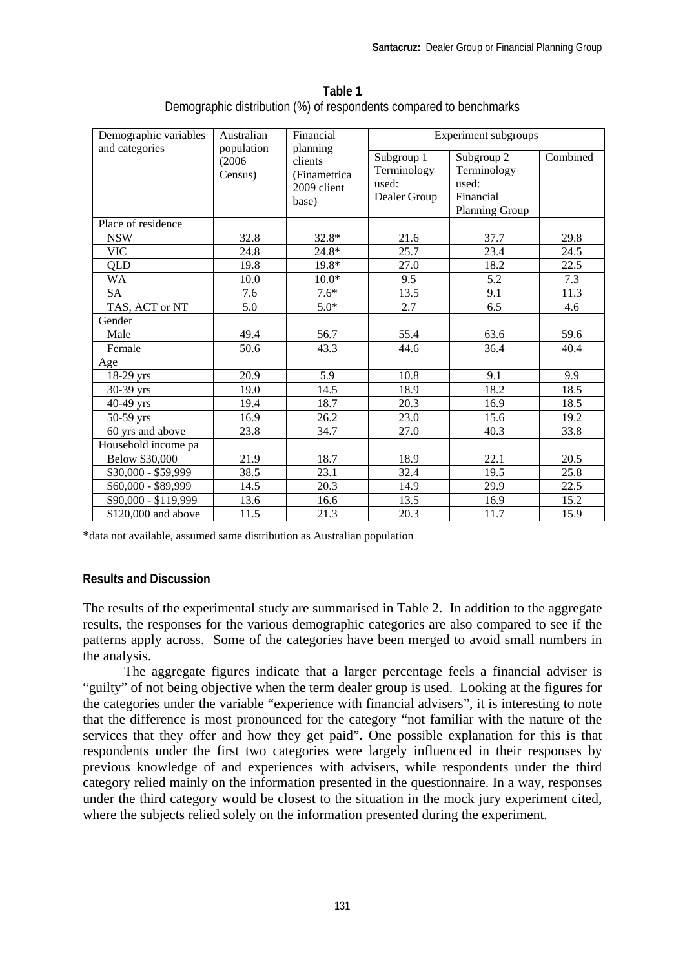| Demographic variables | Financial<br>Australian<br>population<br>planning<br>(2006)<br>clients<br>Census)<br>(Finametrica)<br>2009 client<br>base) |         | <b>Experiment subgroups</b>                        |                                                                          |          |
|-----------------------|----------------------------------------------------------------------------------------------------------------------------|---------|----------------------------------------------------|--------------------------------------------------------------------------|----------|
| and categories        |                                                                                                                            |         | Subgroup 1<br>Terminology<br>used:<br>Dealer Group | Subgroup 2<br>Terminology<br>used:<br>Financial<br><b>Planning Group</b> | Combined |
| Place of residence    |                                                                                                                            |         |                                                    |                                                                          |          |
| <b>NSW</b>            | 32.8                                                                                                                       | $32.8*$ | 21.6                                               | 37.7                                                                     | 29.8     |
| <b>VIC</b>            | 24.8                                                                                                                       | $24.8*$ | 25.7                                               | 23.4                                                                     | 24.5     |
| QLD                   | 19.8                                                                                                                       | 19.8*   | 27.0                                               | 18.2                                                                     | 22.5     |
| <b>WA</b>             | 10.0                                                                                                                       | $10.0*$ | 9.5                                                | 5.2                                                                      | 7.3      |
| <b>SA</b>             | 7.6                                                                                                                        | $7.6*$  | 13.5                                               | 9.1                                                                      | 11.3     |
| TAS, ACT or NT        | 5.0                                                                                                                        | $5.0*$  | 2.7                                                | 6.5                                                                      | 4.6      |
| Gender                |                                                                                                                            |         |                                                    |                                                                          |          |
| Male                  | 49.4                                                                                                                       | 56.7    | 55.4                                               | 63.6                                                                     | 59.6     |
| Female                | 50.6                                                                                                                       | 43.3    | 44.6                                               | 36.4                                                                     | 40.4     |
| Age                   |                                                                                                                            |         |                                                    |                                                                          |          |
| 18-29 yrs             | 20.9                                                                                                                       | 5.9     | 10.8                                               | 9.1                                                                      | 9.9      |
| 30-39 yrs             | 19.0                                                                                                                       | 14.5    | 18.9                                               | 18.2                                                                     | 18.5     |
| 40-49 yrs             | 19.4                                                                                                                       | 18.7    | 20.3                                               | 16.9                                                                     | 18.5     |
| $50-59$ yrs           | 16.9                                                                                                                       | 26.2    | 23.0                                               | 15.6                                                                     | 19.2     |
| 60 yrs and above      | 23.8                                                                                                                       | 34.7    | 27.0                                               | 40.3                                                                     | 33.8     |
| Household income pa   |                                                                                                                            |         |                                                    |                                                                          |          |
| Below \$30,000        | 21.9                                                                                                                       | 18.7    | 18.9                                               | 22.1                                                                     | 20.5     |
| $$30,000 - $59,999$   | 38.5                                                                                                                       | 23.1    | 32.4                                               | 19.5                                                                     | 25.8     |
| \$60,000 - \$89,999   | 14.5                                                                                                                       | 20.3    | 14.9                                               | 29.9                                                                     | 22.5     |
| \$90,000 - \$119,999  | 13.6                                                                                                                       | 16.6    | 13.5                                               | 16.9                                                                     | 15.2     |
| \$120,000 and above   | 11.5                                                                                                                       | 21.3    | 20.3                                               | 11.7                                                                     | 15.9     |

**Table 1**  Demographic distribution (%) of respondents compared to benchmarks

\*data not available, assumed same distribution as Australian population

#### **Results and Discussion**

The results of the experimental study are summarised in Table 2. In addition to the aggregate results, the responses for the various demographic categories are also compared to see if the patterns apply across. Some of the categories have been merged to avoid small numbers in the analysis.

The aggregate figures indicate that a larger percentage feels a financial adviser is "guilty" of not being objective when the term dealer group is used. Looking at the figures for the categories under the variable "experience with financial advisers", it is interesting to note that the difference is most pronounced for the category "not familiar with the nature of the services that they offer and how they get paid". One possible explanation for this is that respondents under the first two categories were largely influenced in their responses by previous knowledge of and experiences with advisers, while respondents under the third category relied mainly on the information presented in the questionnaire. In a way, responses under the third category would be closest to the situation in the mock jury experiment cited, where the subjects relied solely on the information presented during the experiment.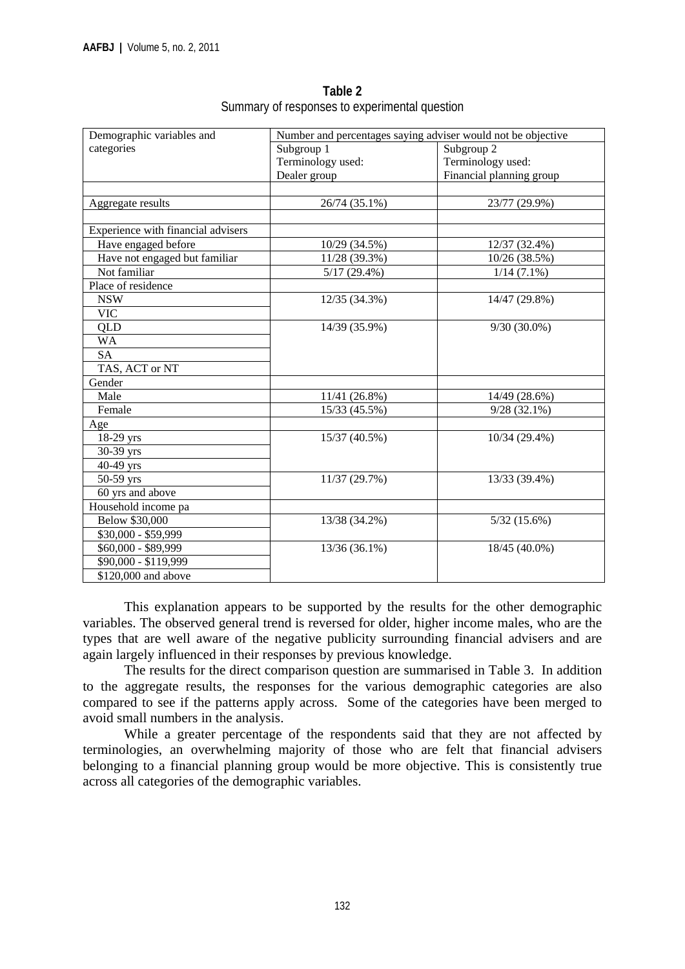| Demographic variables and          | Number and percentages saying adviser would not be objective |                           |  |
|------------------------------------|--------------------------------------------------------------|---------------------------|--|
| categories                         | Subgroup 1                                                   | Subgroup 2                |  |
|                                    | Terminology used:                                            | Terminology used:         |  |
|                                    | Dealer group                                                 | Financial planning group  |  |
|                                    |                                                              |                           |  |
| Aggregate results                  | 26/74 (35.1%)                                                | 23/77 (29.9%)             |  |
|                                    |                                                              |                           |  |
| Experience with financial advisers |                                                              |                           |  |
| Have engaged before                | 10/29 (34.5%)                                                | 12/37 (32.4%)             |  |
| Have not engaged but familiar      | 11/28 (39.3%)                                                | 10/26 (38.5%)             |  |
| Not familiar                       | $\overline{5}/17(29.4\%)$                                    | $\overline{1/1}$ 4 (7.1%) |  |
| Place of residence                 |                                                              |                           |  |
| <b>NSW</b>                         | 12/35 (34.3%)                                                | 14/47 (29.8%)             |  |
| <b>VIC</b>                         |                                                              |                           |  |
| QLD                                | 14/39 (35.9%)                                                | $9/30(30.0\%)$            |  |
| <b>WA</b>                          |                                                              |                           |  |
| <b>SA</b>                          |                                                              |                           |  |
| TAS, ACT or NT                     |                                                              |                           |  |
| Gender                             |                                                              |                           |  |
| Male                               | 11/41 (26.8%)                                                | 14/49 (28.6%)             |  |
| Female                             | 15/33 (45.5%)                                                | $9/28(32.1\%)$            |  |
| Age                                |                                                              |                           |  |
| 18-29 yrs                          | 15/37 (40.5%)                                                | 10/34 (29.4%)             |  |
| 30-39 yrs                          |                                                              |                           |  |
| 40-49 yrs                          |                                                              |                           |  |
| 50-59 yrs                          | 11/37 (29.7%)                                                | 13/33 (39.4%)             |  |
| 60 yrs and above                   |                                                              |                           |  |
| Household income pa                |                                                              |                           |  |
| Below \$30,000                     | 13/38 (34.2%)                                                | $5/32$ (15.6%)            |  |
| \$30,000 - \$59,999                |                                                              |                           |  |
| \$60,000 - \$89,999                | 13/36 (36.1%)                                                | 18/45 (40.0%)             |  |
| \$90,000 - \$119,999               |                                                              |                           |  |
| \$120,000 and above                |                                                              |                           |  |

**Table 2**  Summary of responses to experimental question

This explanation appears to be supported by the results for the other demographic variables. The observed general trend is reversed for older, higher income males, who are the types that are well aware of the negative publicity surrounding financial advisers and are again largely influenced in their responses by previous knowledge.

The results for the direct comparison question are summarised in Table 3. In addition to the aggregate results, the responses for the various demographic categories are also compared to see if the patterns apply across. Some of the categories have been merged to avoid small numbers in the analysis.

While a greater percentage of the respondents said that they are not affected by terminologies, an overwhelming majority of those who are felt that financial advisers belonging to a financial planning group would be more objective. This is consistently true across all categories of the demographic variables.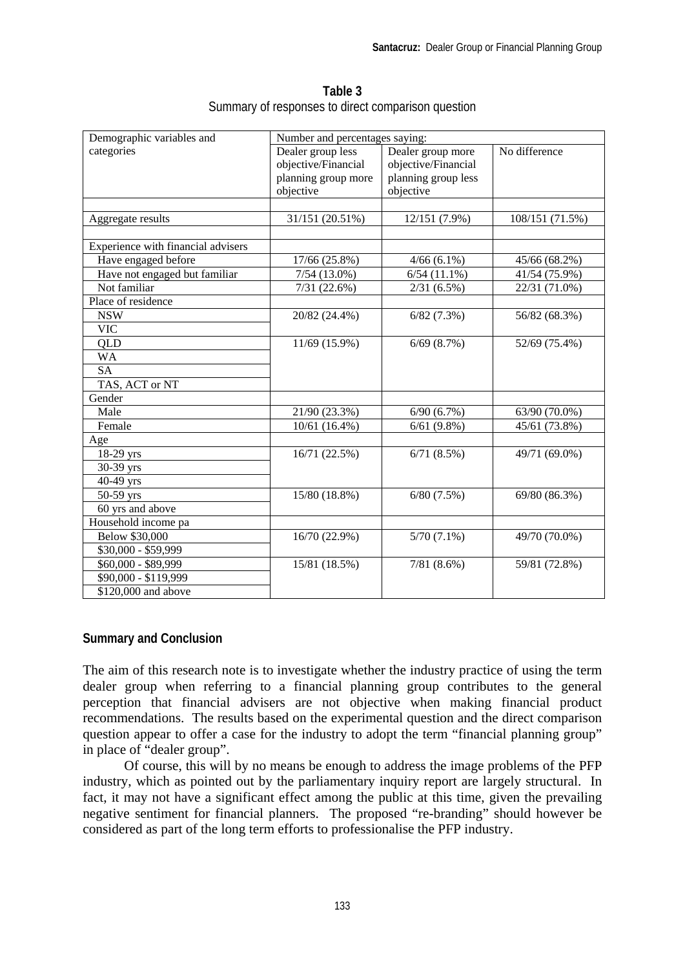| Demographic variables and          | Number and percentages saying: |                     |                 |  |
|------------------------------------|--------------------------------|---------------------|-----------------|--|
| categories                         | Dealer group less              | Dealer group more   | No difference   |  |
|                                    | objective/Financial            | objective/Financial |                 |  |
|                                    | planning group more            | planning group less |                 |  |
|                                    | objective                      | objective           |                 |  |
|                                    |                                |                     |                 |  |
| Aggregate results                  | 31/151 (20.51%)                | $12/151(7.9\%)$     | 108/151 (71.5%) |  |
|                                    |                                |                     |                 |  |
| Experience with financial advisers |                                |                     |                 |  |
| Have engaged before                | $\overline{17/66}$ (25.8%)     | $4/66(6.1\%)$       | 45/66 (68.2%)   |  |
| Have not engaged but familiar      | $7/54(13.0\%)$                 | $6/54$ $(11.1\%)$   | 41/54 (75.9%)   |  |
| Not familiar                       | 7/31(22.6%)                    | $2/31(6.5\%)$       | 22/31 (71.0%)   |  |
| Place of residence                 |                                |                     |                 |  |
| <b>NSW</b>                         | 20/82 (24.4%)                  | 6/82(7.3%)          | 56/82 (68.3%)   |  |
| <b>VIC</b>                         |                                |                     |                 |  |
| QLD                                | 11/69 (15.9%)                  | $6/69$ $(8.7%)$     | 52/69 (75.4%)   |  |
| <b>WA</b>                          |                                |                     |                 |  |
| <b>SA</b>                          |                                |                     |                 |  |
| TAS, ACT or NT                     |                                |                     |                 |  |
| Gender                             |                                |                     |                 |  |
| Male                               | 21/90 (23.3%)                  | 6/90(6.7%)          | 63/90 (70.0%)   |  |
| Female                             | 10/61(16.4%)                   | 6/61(9.8%)          | 45/61 (73.8%)   |  |
| Age                                |                                |                     |                 |  |
| 18-29 yrs                          | 16/71 (22.5%)                  | 6/71(8.5%)          | 49/71 (69.0%)   |  |
| 30-39 yrs                          |                                |                     |                 |  |
| 40-49 yrs                          |                                |                     |                 |  |
| 50-59 yrs                          | 15/80 (18.8%)                  | 6/80(7.5%)          | 69/80 (86.3%)   |  |
| 60 yrs and above                   |                                |                     |                 |  |
| Household income pa                |                                |                     |                 |  |
| Below \$30,000                     | 16/70 (22.9%)                  | $5/70(7.1\%)$       | 49/70 (70.0%)   |  |
| \$30,000 - \$59,999                |                                |                     |                 |  |
| \$60,000 - \$89,999                | 15/81 (18.5%)                  | 7/81(8.6%)          | 59/81 (72.8%)   |  |
| \$90,000 - \$119,999               |                                |                     |                 |  |
| \$120,000 and above                |                                |                     |                 |  |

**Table 3**  Summary of responses to direct comparison question

#### **Summary and Conclusion**

The aim of this research note is to investigate whether the industry practice of using the term dealer group when referring to a financial planning group contributes to the general perception that financial advisers are not objective when making financial product recommendations. The results based on the experimental question and the direct comparison question appear to offer a case for the industry to adopt the term "financial planning group" in place of "dealer group".

Of course, this will by no means be enough to address the image problems of the PFP industry, which as pointed out by the parliamentary inquiry report are largely structural. In fact, it may not have a significant effect among the public at this time, given the prevailing negative sentiment for financial planners. The proposed "re-branding" should however be considered as part of the long term efforts to professionalise the PFP industry.